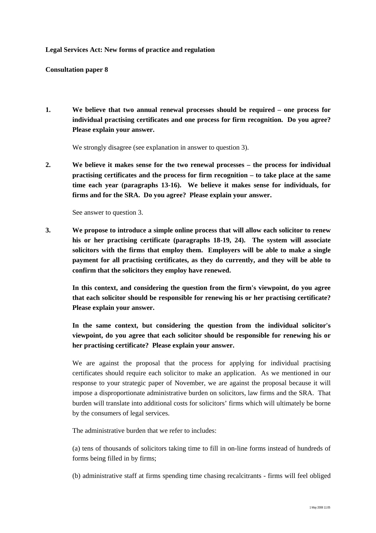## **Legal Services Act: New forms of practice and regulation**

## **Consultation paper 8**

**1. We believe that two annual renewal processes should be required – one process for individual practising certificates and one process for firm recognition. Do you agree? Please explain your answer.** 

We strongly disagree (see explanation in answer to question 3).

**2. We believe it makes sense for the two renewal processes – the process for individual practising certificates and the process for firm recognition – to take place at the same time each year (paragraphs 13-16). We believe it makes sense for individuals, for firms and for the SRA. Do you agree? Please explain your answer.** 

See answer to question 3.

**3. We propose to introduce a simple online process that will allow each solicitor to renew his or her practising certificate (paragraphs 18-19, 24). The system will associate solicitors with the firms that employ them. Employers will be able to make a single payment for all practising certificates, as they do currently, and they will be able to confirm that the solicitors they employ have renewed.** 

**In this context, and considering the question from the firm's viewpoint, do you agree that each solicitor should be responsible for renewing his or her practising certificate? Please explain your answer.** 

**In the same context, but considering the question from the individual solicitor's viewpoint, do you agree that each solicitor should be responsible for renewing his or her practising certificate? Please explain your answer.** 

We are against the proposal that the process for applying for individual practising certificates should require each solicitor to make an application. As we mentioned in our response to your strategic paper of November, we are against the proposal because it will impose a disproportionate administrative burden on solicitors, law firms and the SRA. That burden will translate into additional costs for solicitors' firms which will ultimately be borne by the consumers of legal services.

The administrative burden that we refer to includes:

(a) tens of thousands of solicitors taking time to fill in on-line forms instead of hundreds of forms being filled in by firms;

(b) administrative staff at firms spending time chasing recalcitrants - firms will feel obliged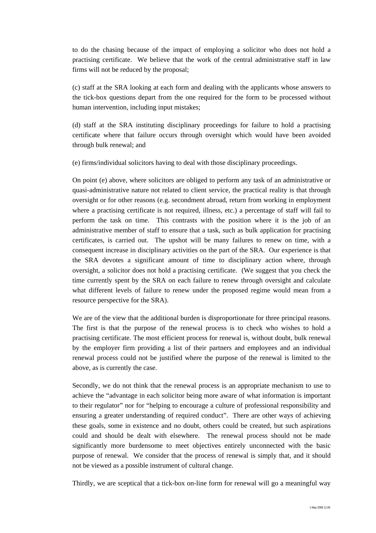to do the chasing because of the impact of employing a solicitor who does not hold a practising certificate. We believe that the work of the central administrative staff in law firms will not be reduced by the proposal;

(c) staff at the SRA looking at each form and dealing with the applicants whose answers to the tick-box questions depart from the one required for the form to be processed without human intervention, including input mistakes;

(d) staff at the SRA instituting disciplinary proceedings for failure to hold a practising certificate where that failure occurs through oversight which would have been avoided through bulk renewal; and

(e) firms/individual solicitors having to deal with those disciplinary proceedings.

On point (e) above, where solicitors are obliged to perform any task of an administrative or quasi-administrative nature not related to client service, the practical reality is that through oversight or for other reasons (e.g. secondment abroad, return from working in employment where a practising certificate is not required, illness, etc.) a percentage of staff will fail to perform the task on time. This contrasts with the position where it is the job of an administrative member of staff to ensure that a task, such as bulk application for practising certificates, is carried out. The upshot will be many failures to renew on time, with a consequent increase in disciplinary activities on the part of the SRA. Our experience is that the SRA devotes a significant amount of time to disciplinary action where, through oversight, a solicitor does not hold a practising certificate. (We suggest that you check the time currently spent by the SRA on each failure to renew through oversight and calculate what different levels of failure to renew under the proposed regime would mean from a resource perspective for the SRA).

We are of the view that the additional burden is disproportionate for three principal reasons. The first is that the purpose of the renewal process is to check who wishes to hold a practising certificate. The most efficient process for renewal is, without doubt, bulk renewal by the employer firm providing a list of their partners and employees and an individual renewal process could not be justified where the purpose of the renewal is limited to the above, as is currently the case.

Secondly, we do not think that the renewal process is an appropriate mechanism to use to achieve the "advantage in each solicitor being more aware of what information is important to their regulator" nor for "helping to encourage a culture of professional responsibility and ensuring a greater understanding of required conduct". There are other ways of achieving these goals, some in existence and no doubt, others could be created, but such aspirations could and should be dealt with elsewhere. The renewal process should not be made significantly more burdensome to meet objectives entirely unconnected with the basic purpose of renewal. We consider that the process of renewal is simply that, and it should not be viewed as a possible instrument of cultural change.

Thirdly, we are sceptical that a tick-box on-line form for renewal will go a meaningful way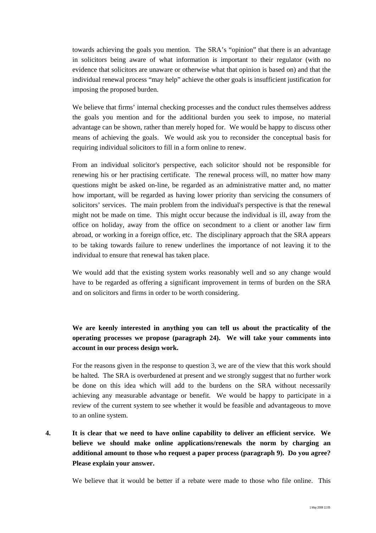towards achieving the goals you mention. The SRA's "opinion" that there is an advantage in solicitors being aware of what information is important to their regulator (with no evidence that solicitors are unaware or otherwise what that opinion is based on) and that the individual renewal process "may help" achieve the other goals is insufficient justification for imposing the proposed burden.

We believe that firms' internal checking processes and the conduct rules themselves address the goals you mention and for the additional burden you seek to impose, no material advantage can be shown, rather than merely hoped for. We would be happy to discuss other means of achieving the goals. We would ask you to reconsider the conceptual basis for requiring individual solicitors to fill in a form online to renew.

From an individual solicitor's perspective, each solicitor should not be responsible for renewing his or her practising certificate. The renewal process will, no matter how many questions might be asked on-line, be regarded as an administrative matter and, no matter how important, will be regarded as having lower priority than servicing the consumers of solicitors' services. The main problem from the individual's perspective is that the renewal might not be made on time. This might occur because the individual is ill, away from the office on holiday, away from the office on secondment to a client or another law firm abroad, or working in a foreign office, etc. The disciplinary approach that the SRA appears to be taking towards failure to renew underlines the importance of not leaving it to the individual to ensure that renewal has taken place.

We would add that the existing system works reasonably well and so any change would have to be regarded as offering a significant improvement in terms of burden on the SRA and on solicitors and firms in order to be worth considering.

## **We are keenly interested in anything you can tell us about the practicality of the operating processes we propose (paragraph 24). We will take your comments into account in our process design work.**

For the reasons given in the response to question 3, we are of the view that this work should be halted. The SRA is overburdened at present and we strongly suggest that no further work be done on this idea which will add to the burdens on the SRA without necessarily achieving any measurable advantage or benefit. We would be happy to participate in a review of the current system to see whether it would be feasible and advantageous to move to an online system.

**4. It is clear that we need to have online capability to deliver an efficient service. We believe we should make online applications/renewals the norm by charging an additional amount to those who request a paper process (paragraph 9). Do you agree? Please explain your answer.** 

We believe that it would be better if a rebate were made to those who file online. This